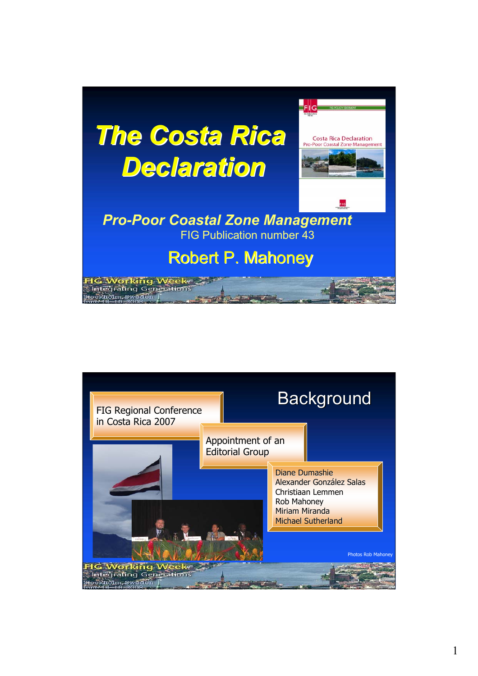

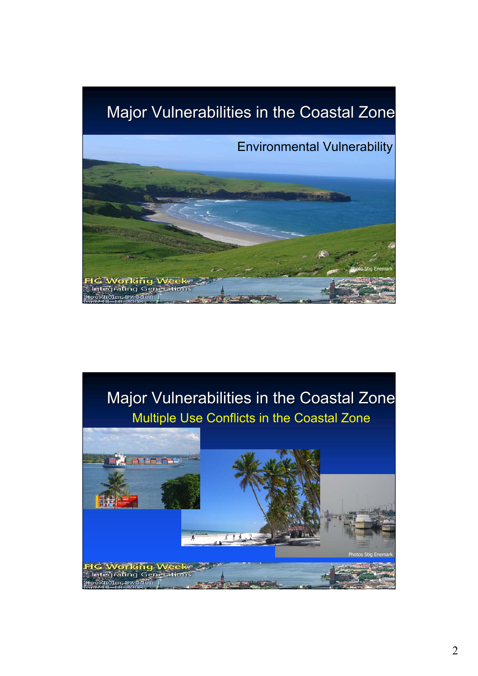## Major Vulnerabilities in the Coastal Zone





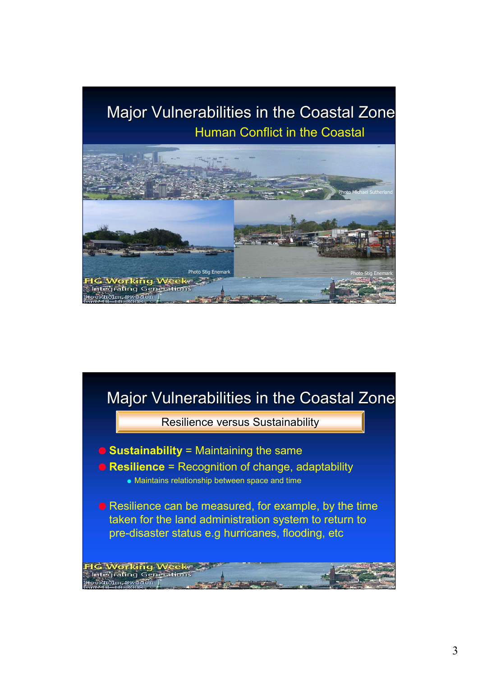## Major Vulnerabilities in the Coastal Zone Human Conflict in the Coastal



## Major Vulnerabilities in the Coastal Zone

**Resilience versus Sustainability** 

O **Sustainability** = Maintaining the same

**G Working Week**<br>ntegrating Generation

- O **Resilience** = Recognition of change, adaptability
	- Maintains relationship between space and time

O Resilience can be measured, for example, by the time taken for the land administration system to return to pre-disaster status e.g hurricanes, flooding, etc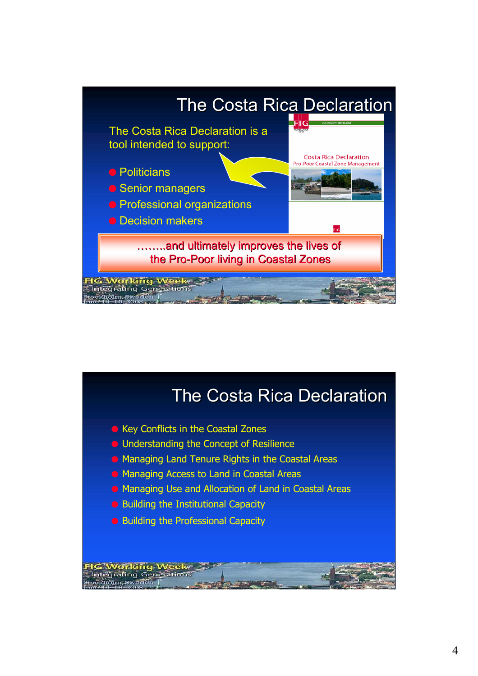